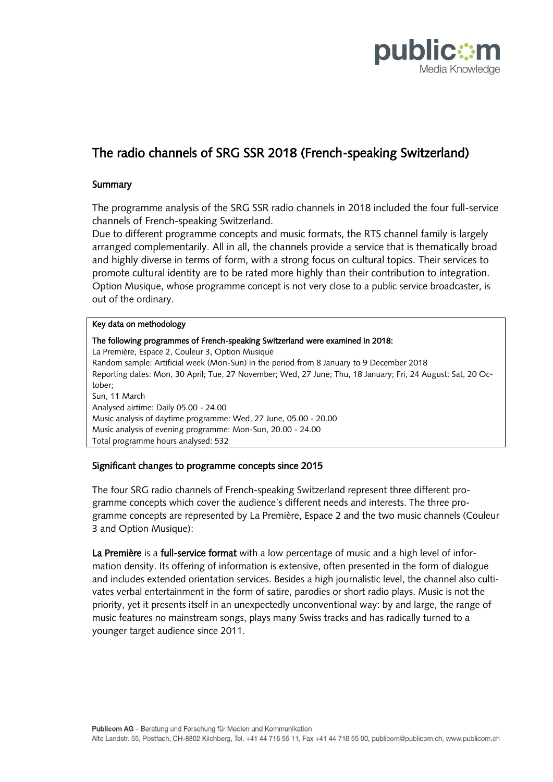

# The radio channels of SRG SSR 2018 (French-speaking Switzerland)

## **Summary**

The programme analysis of the SRG SSR radio channels in 2018 included the four full-service channels of French-speaking Switzerland.

Due to different programme concepts and music formats, the RTS channel family is largely arranged complementarily. All in all, the channels provide a service that is thematically broad and highly diverse in terms of form, with a strong focus on cultural topics. Their services to promote cultural identity are to be rated more highly than their contribution to integration. Option Musique, whose programme concept is not very close to a public service broadcaster, is out of the ordinary.

#### Key data on methodology

The following programmes of French-speaking Switzerland were examined in 2018: La Première, Espace 2, Couleur 3, Option Musique Random sample: Artificial week (Mon-Sun) in the period from 8 January to 9 December 2018 Reporting dates: Mon, 30 April; Tue, 27 November; Wed, 27 June; Thu, 18 January; Fri, 24 August; Sat, 20 October; Sun, 11 March Analysed airtime: Daily 05.00 - 24.00 Music analysis of daytime programme: Wed, 27 June, 05.00 - 20.00 Music analysis of evening programme: Mon-Sun, 20.00 - 24.00 Total programme hours analysed: 532

## Significant changes to programme concepts since 2015

The four SRG radio channels of French-speaking Switzerland represent three different programme concepts which cover the audience's different needs and interests. The three programme concepts are represented by La Première, Espace 2 and the two music channels (Couleur 3 and Option Musique):

La Première is a full-service format with a low percentage of music and a high level of information density. Its offering of information is extensive, often presented in the form of dialogue and includes extended orientation services. Besides a high journalistic level, the channel also cultivates verbal entertainment in the form of satire, parodies or short radio plays. Music is not the priority, yet it presents itself in an unexpectedly unconventional way: by and large, the range of music features no mainstream songs, plays many Swiss tracks and has radically turned to a younger target audience since 2011.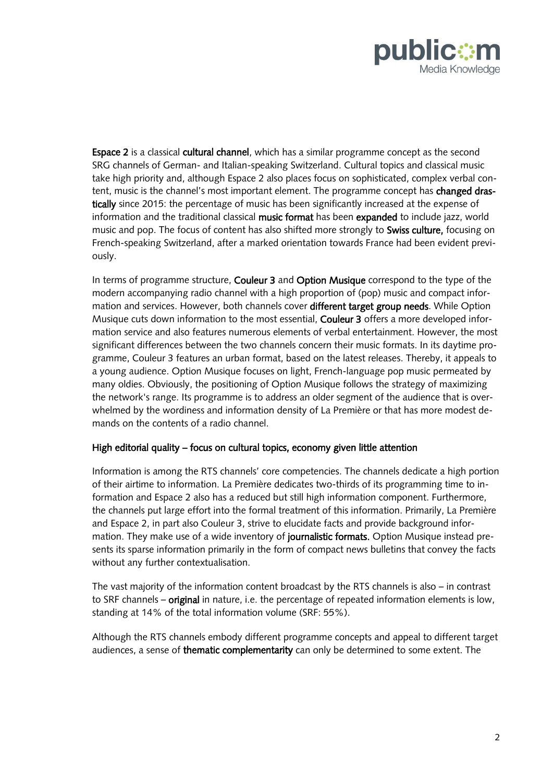

Espace 2 is a classical cultural channel, which has a similar programme concept as the second SRG channels of German- and Italian-speaking Switzerland. Cultural topics and classical music take high priority and, although Espace 2 also places focus on sophisticated, complex verbal content, music is the channel's most important element. The programme concept has changed drastically since 2015: the percentage of music has been significantly increased at the expense of information and the traditional classical music format has been expanded to include jazz, world music and pop. The focus of content has also shifted more strongly to Swiss culture, focusing on French-speaking Switzerland, after a marked orientation towards France had been evident previously.

In terms of programme structure, Couleur 3 and Option Musique correspond to the type of the modern accompanying radio channel with a high proportion of (pop) music and compact information and services. However, both channels cover different target group needs. While Option Musique cuts down information to the most essential, **Couleur 3** offers a more developed information service and also features numerous elements of verbal entertainment. However, the most significant differences between the two channels concern their music formats. In its daytime programme, Couleur 3 features an urban format, based on the latest releases. Thereby, it appeals to a young audience. Option Musique focuses on light, French-language pop music permeated by many oldies. Obviously, the positioning of Option Musique follows the strategy of maximizing the network's range. Its programme is to address an older segment of the audience that is overwhelmed by the wordiness and information density of La Première or that has more modest demands on the contents of a radio channel.

#### High editorial quality – focus on cultural topics, economy given little attention

Information is among the RTS channels' core competencies. The channels dedicate a high portion of their airtime to information. La Première dedicates two-thirds of its programming time to information and Espace 2 also has a reduced but still high information component. Furthermore, the channels put large effort into the formal treatment of this information. Primarily, La Première and Espace 2, in part also Couleur 3, strive to elucidate facts and provide background information. They make use of a wide inventory of journalistic formats. Option Musique instead presents its sparse information primarily in the form of compact news bulletins that convey the facts without any further contextualisation.

The vast majority of the information content broadcast by the RTS channels is also – in contrast to SRF channels – **original** in nature, i.e. the percentage of repeated information elements is low, standing at 14% of the total information volume (SRF: 55%).

Although the RTS channels embody different programme concepts and appeal to different target audiences, a sense of thematic complementarity can only be determined to some extent. The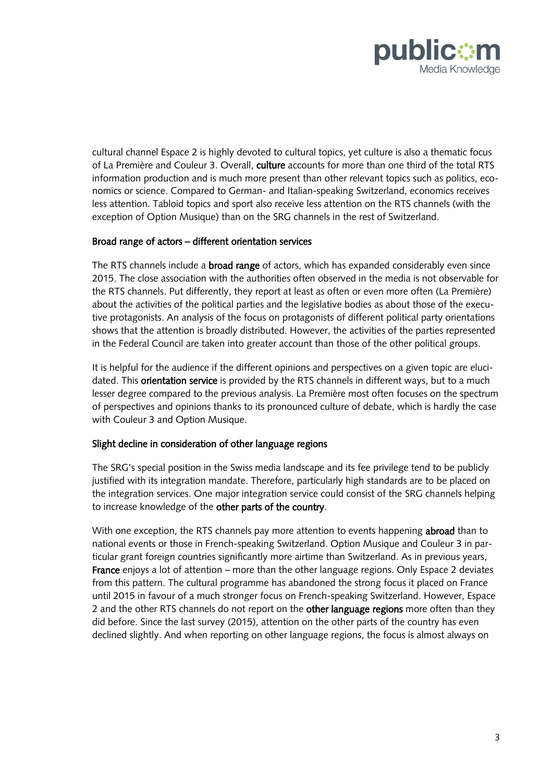

cultural channel Espace 2 is highly devoted to cultural topics, yet culture is also a thematic focus of La Première and Couleur 3. Overall, culture accounts for more than one third of the total RTS information production and is much more present than other relevant topics such as politics, economics or science. Compared to German- and Italian-speaking Switzerland, economics receives less attention. Tabloid topics and sport also receive less attention on the RTS channels (with the exception of Option Musique) than on the SRG channels in the rest of Switzerland.

## Broad range of actors – different orientation services

The RTS channels include a **broad range** of actors, which has expanded considerably even since 2015. The close association with the authorities often observed in the media is not observable for the RTS channels. Put differently, they report at least as often or even more often (La Première) about the activities of the political parties and the legislative bodies as about those of the executive protagonists. An analysis of the focus on protagonists of different political party orientations shows that the attention is broadly distributed. However, the activities of the parties represented in the Federal Council are taken into greater account than those of the other political groups.

It is helpful for the audience if the different opinions and perspectives on a given topic are elucidated. This **orientation service** is provided by the RTS channels in different ways, but to a much lesser degree compared to the previous analysis. La Première most often focuses on the spectrum of perspectives and opinions thanks to its pronounced culture of debate, which is hardly the case with Couleur 3 and Option Musique.

## Slight decline in consideration of other language regions

The SRG's special position in the Swiss media landscape and its fee privilege tend to be publicly justified with its integration mandate. Therefore, particularly high standards are to be placed on the integration services. One major integration service could consist of the SRG channels helping to increase knowledge of the other parts of the country.

With one exception, the RTS channels pay more attention to events happening **abroad** than to national events or those in French-speaking Switzerland. Option Musique and Couleur 3 in particular grant foreign countries significantly more airtime than Switzerland. As in previous years, France enjoys a lot of attention – more than the other language regions. Only Espace 2 deviates from this pattern. The cultural programme has abandoned the strong focus it placed on France until 2015 in favour of a much stronger focus on French-speaking Switzerland. However, Espace 2 and the other RTS channels do not report on the **other language regions** more often than they did before. Since the last survey (2015), attention on the other parts of the country has even declined slightly. And when reporting on other language regions, the focus is almost always on